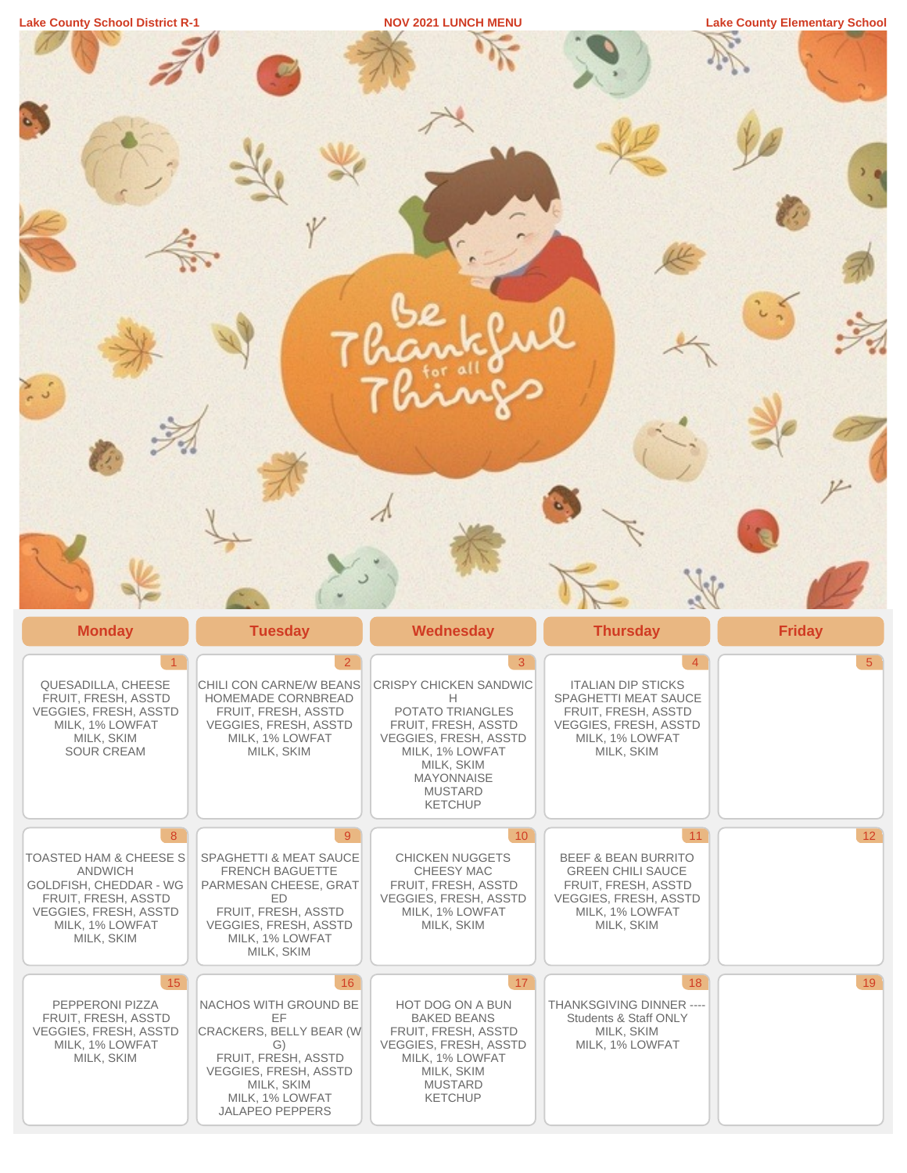| <b>Lake County School District R-1</b> |  |  |
|----------------------------------------|--|--|
|                                        |  |  |

**Lake County Elementary School Lake County Elementary School** 

| <b>Monday</b>                                                                                                                                            | <b>Tuesday</b>                                                                                                                                                                     | <b>Wednesday</b>                                                                                                                                                                               | <b>Thursday</b>                                                                                                                                          | <b>Friday</b>   |
|----------------------------------------------------------------------------------------------------------------------------------------------------------|------------------------------------------------------------------------------------------------------------------------------------------------------------------------------------|------------------------------------------------------------------------------------------------------------------------------------------------------------------------------------------------|----------------------------------------------------------------------------------------------------------------------------------------------------------|-----------------|
| $\overline{1}$<br>QUESADILLA, CHEESE<br>FRUIT, FRESH, ASSTD<br><b>VEGGIES, FRESH, ASSTD</b><br>MILK, 1% LOWFAT<br>MILK, SKIM<br><b>SOUR CREAM</b>        | $\overline{2}$<br>CHILI CON CARNE/W BEANS<br>HOMEMADE CORNBREAD<br>FRUIT, FRESH, ASSTD<br>VEGGIES, FRESH, ASSTD<br>MILK, 1% LOWFAT<br>MILK, SKIM                                   | 3<br>CRISPY CHICKEN SANDWIC<br>H<br>POTATO TRIANGLES<br>FRUIT, FRESH, ASSTD<br>VEGGIES, FRESH, ASSTD<br>MILK, 1% LOWFAT<br>MILK, SKIM<br><b>MAYONNAISE</b><br><b>MUSTARD</b><br><b>KETCHUP</b> | $\overline{4}$<br><b>ITALIAN DIP STICKS</b><br>SPAGHETTI MEAT SAUCE<br>FRUIT, FRESH, ASSTD<br>VEGGIES, FRESH, ASSTD<br>MILK, 1% LOWFAT<br>MILK, SKIM     | 5 <sup>7</sup>  |
| 8<br>TOASTED HAM & CHEESE S<br>ANDWICH<br>GOLDFISH, CHEDDAR - WG<br>FRUIT, FRESH, ASSTD<br><b>VEGGIES, FRESH, ASSTD</b><br>MILK, 1% LOWFAT<br>MILK, SKIM | 9 <sup>°</sup><br>SPAGHETTI & MEAT SAUCE<br>FRENCH BAGUETTE<br>PARMESAN CHEESE, GRAT<br>ED<br>FRUIT, FRESH, ASSTD<br><b>VEGGIES, FRESH, ASSTD</b><br>MILK, 1% LOWFAT<br>MILK, SKIM | 10 <sup>°</sup><br><b>CHICKEN NUGGETS</b><br>CHEESY MAC<br>FRUIT, FRESH, ASSTD<br><b>VEGGIES, FRESH, ASSTD</b><br>MILK, 1% LOWFAT<br>MILK, SKIM                                                | 11<br><b>BEEF &amp; BEAN BURRITO</b><br><b>GREEN CHILI SAUCE</b><br>FRUIT, FRESH, ASSTD<br><b>VEGGIES, FRESH, ASSTD</b><br>MILK, 1% LOWFAT<br>MILK, SKIM | 12 <sup>7</sup> |